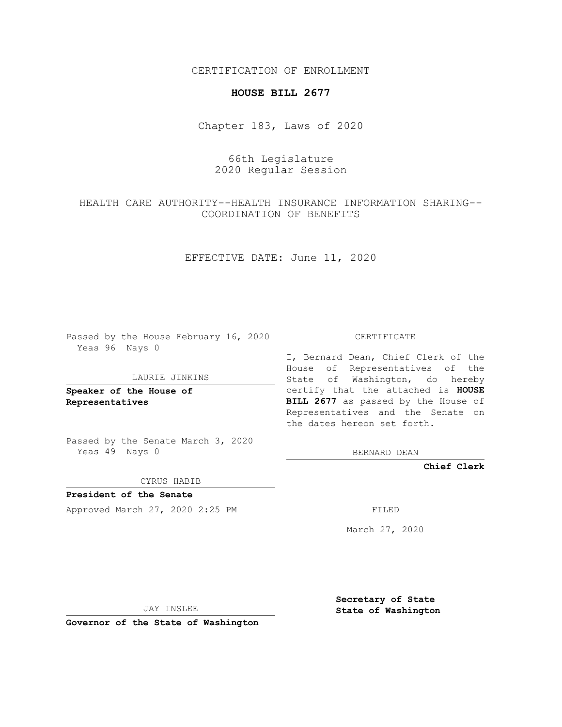CERTIFICATION OF ENROLLMENT

### **HOUSE BILL 2677**

Chapter 183, Laws of 2020

# 66th Legislature 2020 Regular Session

# HEALTH CARE AUTHORITY--HEALTH INSURANCE INFORMATION SHARING-- COORDINATION OF BENEFITS

EFFECTIVE DATE: June 11, 2020

Passed by the House February 16, 2020 Yeas 96 Nays 0

#### LAURIE JINKINS

**Speaker of the House of Representatives**

Passed by the Senate March 3, 2020 Yeas 49 Nays 0

CYRUS HABIB

**President of the Senate** Approved March 27, 2020 2:25 PM FILED

CERTIFICATE

I, Bernard Dean, Chief Clerk of the House of Representatives of the State of Washington, do hereby certify that the attached is **HOUSE BILL 2677** as passed by the House of Representatives and the Senate on the dates hereon set forth.

BERNARD DEAN

**Chief Clerk**

March 27, 2020

JAY INSLEE

**Governor of the State of Washington**

**Secretary of State State of Washington**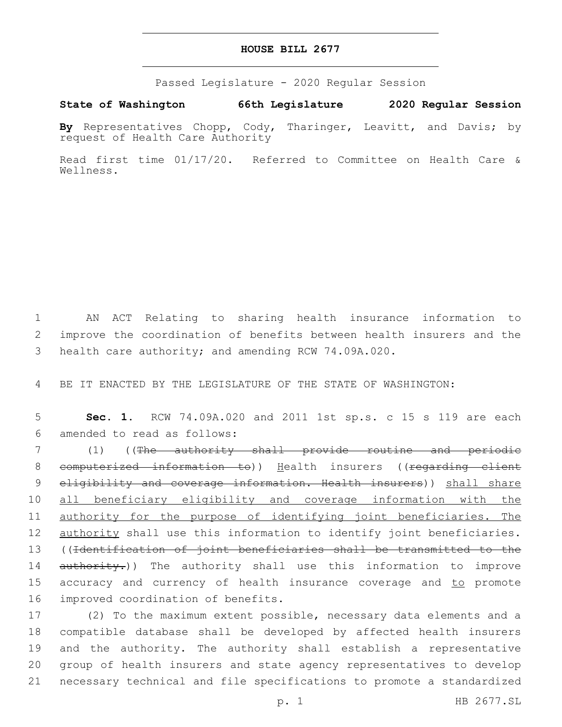#### **HOUSE BILL 2677**

Passed Legislature - 2020 Regular Session

**State of Washington 66th Legislature 2020 Regular Session**

**By** Representatives Chopp, Cody, Tharinger, Leavitt, and Davis; by request of Health Care Authority

Read first time 01/17/20. Referred to Committee on Health Care & Wellness.

1 AN ACT Relating to sharing health insurance information to 2 improve the coordination of benefits between health insurers and the 3 health care authority; and amending RCW 74.09A.020.

4 BE IT ENACTED BY THE LEGISLATURE OF THE STATE OF WASHINGTON:

5 **Sec. 1.** RCW 74.09A.020 and 2011 1st sp.s. c 15 s 119 are each amended to read as follows:6

7 (1) ((The authority shall provide routine and periodic 8 computerized information to)) Health insurers ((regarding client 9 eligibility and coverage information. Health insurers)) shall share 10 all beneficiary eligibility and coverage information with the 11 authority for the purpose of identifying joint beneficiaries. The 12 authority shall use this information to identify joint beneficiaries. 13 ((Identification of joint beneficiaries shall be transmitted to the 14 authority.)) The authority shall use this information to improve 15 accuracy and currency of health insurance coverage and to promote 16 improved coordination of benefits.

 (2) To the maximum extent possible, necessary data elements and a compatible database shall be developed by affected health insurers and the authority. The authority shall establish a representative group of health insurers and state agency representatives to develop necessary technical and file specifications to promote a standardized